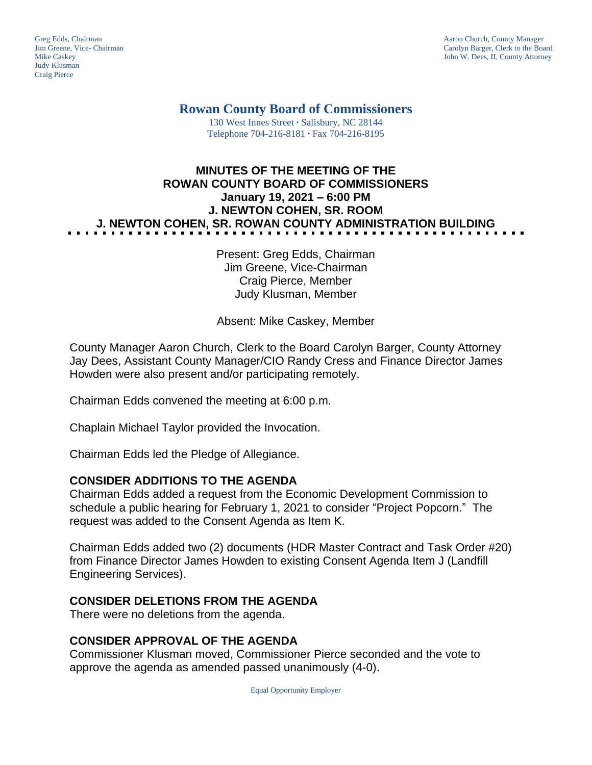Judy Klusman Craig Pierce

Greg Edds, Chairman Aaron Church, County Manager<br>
1989 - Garolyn Barger, Clerk to the Boa<br>
Carolyn Barger, Clerk to the Boa Jim Greene, Vice- Chairman Carolyn Barger, Clerk to the Board John W. Dees, II, County Attorney

**Rowan County Board of Commissioners**

130 West Innes Street **∙** Salisbury, NC 28144 Telephone 704-216-8181 **∙** Fax 704-216-8195

# **MINUTES OF THE MEETING OF THE ROWAN COUNTY BOARD OF COMMISSIONERS January 19, 2021 – 6:00 PM J. NEWTON COHEN, SR. ROOM J. NEWTON COHEN, SR. ROWAN COUNTY ADMINISTRATION BUILDING**

Present: Greg Edds, Chairman Jim Greene, Vice-Chairman Craig Pierce, Member Judy Klusman, Member

Absent: Mike Caskey, Member

County Manager Aaron Church, Clerk to the Board Carolyn Barger, County Attorney Jay Dees, Assistant County Manager/CIO Randy Cress and Finance Director James Howden were also present and/or participating remotely.

Chairman Edds convened the meeting at 6:00 p.m.

Chaplain Michael Taylor provided the Invocation.

Chairman Edds led the Pledge of Allegiance.

#### **CONSIDER ADDITIONS TO THE AGENDA**

Chairman Edds added a request from the Economic Development Commission to schedule a public hearing for February 1, 2021 to consider "Project Popcorn." The request was added to the Consent Agenda as Item K.

Chairman Edds added two (2) documents (HDR Master Contract and Task Order #20) from Finance Director James Howden to existing Consent Agenda Item J (Landfill Engineering Services).

#### **CONSIDER DELETIONS FROM THE AGENDA**

There were no deletions from the agenda.

#### **CONSIDER APPROVAL OF THE AGENDA**

Commissioner Klusman moved, Commissioner Pierce seconded and the vote to approve the agenda as amended passed unanimously (4-0).

Equal Opportunity Employer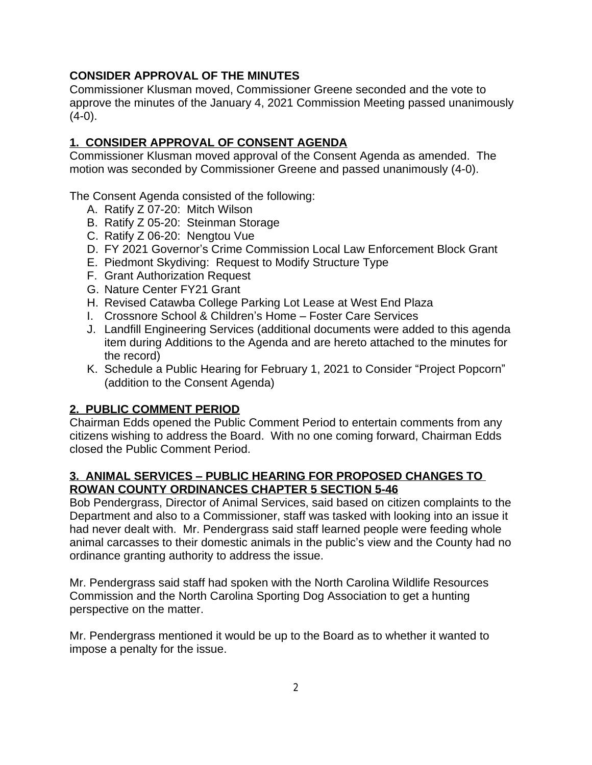# **CONSIDER APPROVAL OF THE MINUTES**

Commissioner Klusman moved, Commissioner Greene seconded and the vote to approve the minutes of the January 4, 2021 Commission Meeting passed unanimously  $(4-0)$ .

# **1. CONSIDER APPROVAL OF CONSENT AGENDA**

Commissioner Klusman moved approval of the Consent Agenda as amended. The motion was seconded by Commissioner Greene and passed unanimously (4-0).

The Consent Agenda consisted of the following:

- A. Ratify Z 07-20: Mitch Wilson
- B. Ratify Z 05-20: Steinman Storage
- C. Ratify Z 06-20: Nengtou Vue
- D. FY 2021 Governor's Crime Commission Local Law Enforcement Block Grant
- E. Piedmont Skydiving: Request to Modify Structure Type
- F. Grant Authorization Request
- G. Nature Center FY21 Grant
- H. Revised Catawba College Parking Lot Lease at West End Plaza
- I. Crossnore School & Children's Home Foster Care Services
- J. Landfill Engineering Services (additional documents were added to this agenda item during Additions to the Agenda and are hereto attached to the minutes for the record)
- K. Schedule a Public Hearing for February 1, 2021 to Consider "Project Popcorn" (addition to the Consent Agenda)

# **2. PUBLIC COMMENT PERIOD**

Chairman Edds opened the Public Comment Period to entertain comments from any citizens wishing to address the Board. With no one coming forward, Chairman Edds closed the Public Comment Period.

#### **3. ANIMAL SERVICES – PUBLIC HEARING FOR PROPOSED CHANGES TO ROWAN COUNTY ORDINANCES CHAPTER 5 SECTION 5-46**

Bob Pendergrass, Director of Animal Services, said based on citizen complaints to the Department and also to a Commissioner, staff was tasked with looking into an issue it had never dealt with. Mr. Pendergrass said staff learned people were feeding whole animal carcasses to their domestic animals in the public's view and the County had no ordinance granting authority to address the issue.

Mr. Pendergrass said staff had spoken with the North Carolina Wildlife Resources Commission and the North Carolina Sporting Dog Association to get a hunting perspective on the matter.

Mr. Pendergrass mentioned it would be up to the Board as to whether it wanted to impose a penalty for the issue.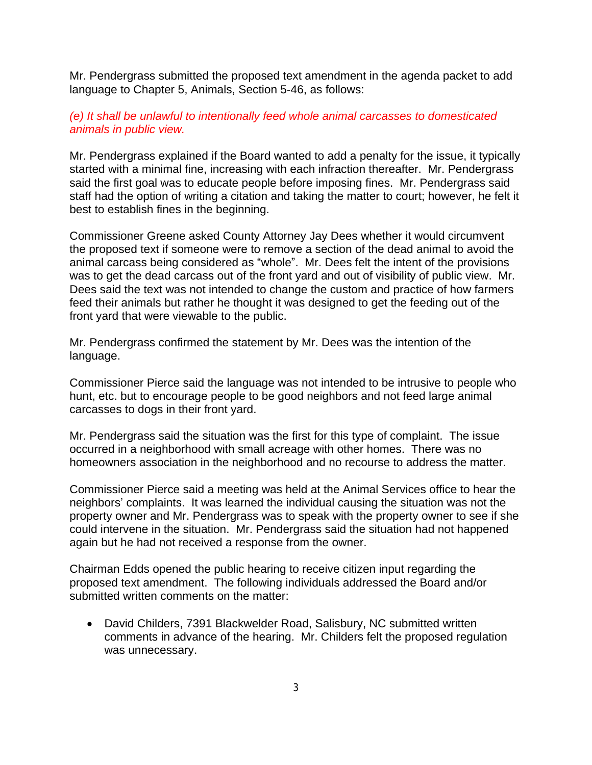Mr. Pendergrass submitted the proposed text amendment in the agenda packet to add language to Chapter 5, Animals, Section 5-46, as follows:

#### *(e) It shall be unlawful to intentionally feed whole animal carcasses to domesticated animals in public view.*

Mr. Pendergrass explained if the Board wanted to add a penalty for the issue, it typically started with a minimal fine, increasing with each infraction thereafter. Mr. Pendergrass said the first goal was to educate people before imposing fines. Mr. Pendergrass said staff had the option of writing a citation and taking the matter to court; however, he felt it best to establish fines in the beginning.

Commissioner Greene asked County Attorney Jay Dees whether it would circumvent the proposed text if someone were to remove a section of the dead animal to avoid the animal carcass being considered as "whole". Mr. Dees felt the intent of the provisions was to get the dead carcass out of the front yard and out of visibility of public view. Mr. Dees said the text was not intended to change the custom and practice of how farmers feed their animals but rather he thought it was designed to get the feeding out of the front yard that were viewable to the public.

Mr. Pendergrass confirmed the statement by Mr. Dees was the intention of the language.

Commissioner Pierce said the language was not intended to be intrusive to people who hunt, etc. but to encourage people to be good neighbors and not feed large animal carcasses to dogs in their front yard.

Mr. Pendergrass said the situation was the first for this type of complaint. The issue occurred in a neighborhood with small acreage with other homes. There was no homeowners association in the neighborhood and no recourse to address the matter.

Commissioner Pierce said a meeting was held at the Animal Services office to hear the neighbors' complaints. It was learned the individual causing the situation was not the property owner and Mr. Pendergrass was to speak with the property owner to see if she could intervene in the situation. Mr. Pendergrass said the situation had not happened again but he had not received a response from the owner.

Chairman Edds opened the public hearing to receive citizen input regarding the proposed text amendment. The following individuals addressed the Board and/or submitted written comments on the matter:

 David Childers, 7391 Blackwelder Road, Salisbury, NC submitted written comments in advance of the hearing. Mr. Childers felt the proposed regulation was unnecessary.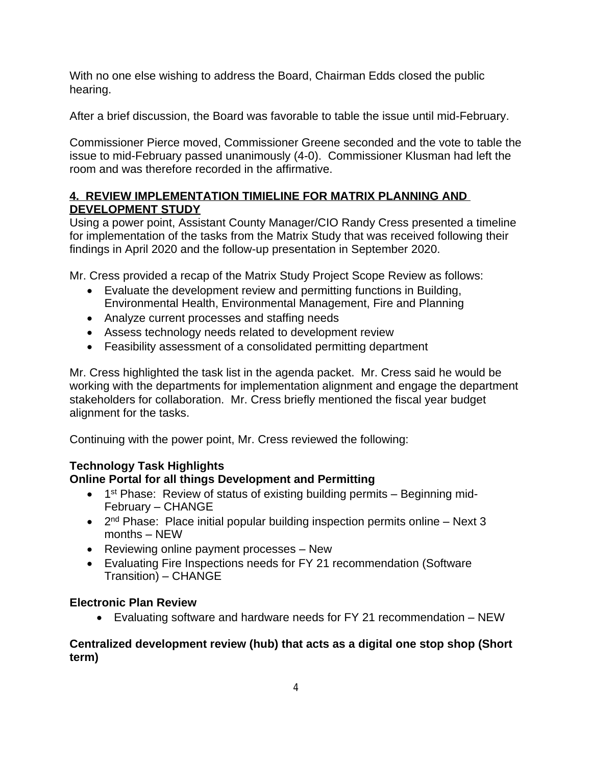With no one else wishing to address the Board, Chairman Edds closed the public hearing.

After a brief discussion, the Board was favorable to table the issue until mid-February.

Commissioner Pierce moved, Commissioner Greene seconded and the vote to table the issue to mid-February passed unanimously (4-0). Commissioner Klusman had left the room and was therefore recorded in the affirmative.

# **4. REVIEW IMPLEMENTATION TIMIELINE FOR MATRIX PLANNING AND DEVELOPMENT STUDY**

Using a power point, Assistant County Manager/CIO Randy Cress presented a timeline for implementation of the tasks from the Matrix Study that was received following their findings in April 2020 and the follow-up presentation in September 2020.

Mr. Cress provided a recap of the Matrix Study Project Scope Review as follows:

- Evaluate the development review and permitting functions in Building, Environmental Health, Environmental Management, Fire and Planning
- Analyze current processes and staffing needs
- Assess technology needs related to development review
- Feasibility assessment of a consolidated permitting department

Mr. Cress highlighted the task list in the agenda packet. Mr. Cress said he would be working with the departments for implementation alignment and engage the department stakeholders for collaboration. Mr. Cress briefly mentioned the fiscal year budget alignment for the tasks.

Continuing with the power point, Mr. Cress reviewed the following:

# **Technology Task Highlights**

# **Online Portal for all things Development and Permitting**

- 1<sup>st</sup> Phase: Review of status of existing building permits Beginning mid-February – CHANGE
- 2<sup>nd</sup> Phase: Place initial popular building inspection permits online Next 3 months – NEW
- Reviewing online payment processes New
- Evaluating Fire Inspections needs for FY 21 recommendation (Software Transition) – CHANGE

# **Electronic Plan Review**

Evaluating software and hardware needs for FY 21 recommendation – NEW

#### **Centralized development review (hub) that acts as a digital one stop shop (Short term)**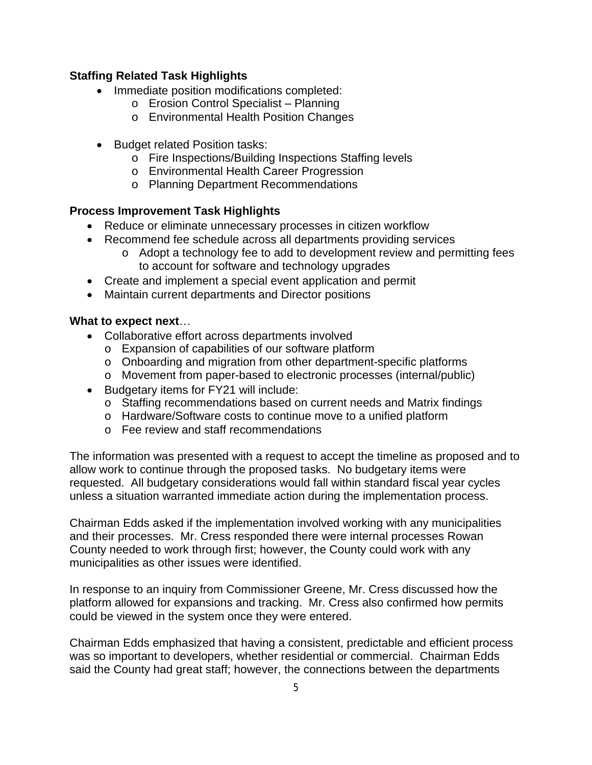#### **Staffing Related Task Highlights**

- Immediate position modifications completed:
	- o Erosion Control Specialist Planning
	- o Environmental Health Position Changes
- Budget related Position tasks:
	- o Fire Inspections/Building Inspections Staffing levels
	- o Environmental Health Career Progression
	- o Planning Department Recommendations

#### **Process Improvement Task Highlights**

- Reduce or eliminate unnecessary processes in citizen workflow
- Recommend fee schedule across all departments providing services
	- o Adopt a technology fee to add to development review and permitting fees to account for software and technology upgrades
- Create and implement a special event application and permit
- Maintain current departments and Director positions

#### **What to expect next**…

- Collaborative effort across departments involved
	- o Expansion of capabilities of our software platform
	- o Onboarding and migration from other department-specific platforms
	- o Movement from paper-based to electronic processes (internal/public)
- Budgetary items for FY21 will include:
	- o Staffing recommendations based on current needs and Matrix findings
	- o Hardware/Software costs to continue move to a unified platform
	- o Fee review and staff recommendations

The information was presented with a request to accept the timeline as proposed and to allow work to continue through the proposed tasks. No budgetary items were requested. All budgetary considerations would fall within standard fiscal year cycles unless a situation warranted immediate action during the implementation process.

Chairman Edds asked if the implementation involved working with any municipalities and their processes. Mr. Cress responded there were internal processes Rowan County needed to work through first; however, the County could work with any municipalities as other issues were identified.

In response to an inquiry from Commissioner Greene, Mr. Cress discussed how the platform allowed for expansions and tracking. Mr. Cress also confirmed how permits could be viewed in the system once they were entered.

Chairman Edds emphasized that having a consistent, predictable and efficient process was so important to developers, whether residential or commercial. Chairman Edds said the County had great staff; however, the connections between the departments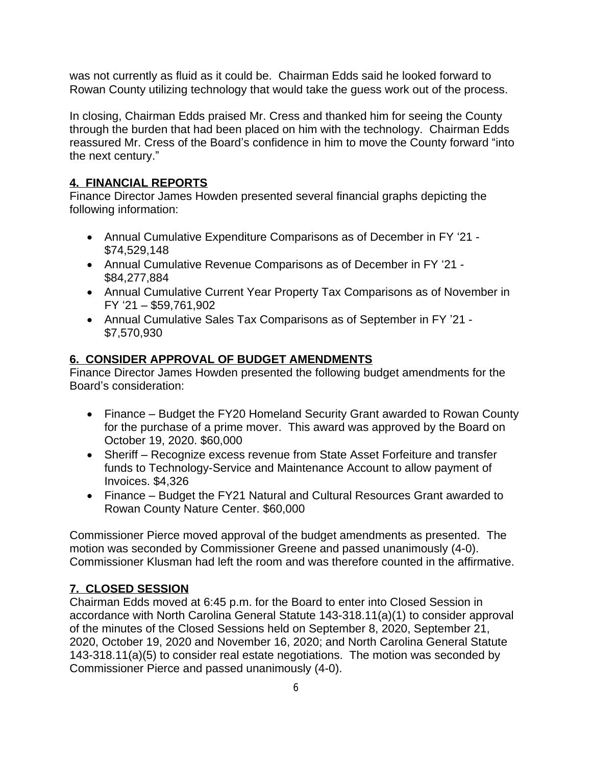was not currently as fluid as it could be. Chairman Edds said he looked forward to Rowan County utilizing technology that would take the guess work out of the process.

In closing, Chairman Edds praised Mr. Cress and thanked him for seeing the County through the burden that had been placed on him with the technology. Chairman Edds reassured Mr. Cress of the Board's confidence in him to move the County forward "into the next century."

# **4. FINANCIAL REPORTS**

Finance Director James Howden presented several financial graphs depicting the following information:

- Annual Cumulative Expenditure Comparisons as of December in FY '21 \$74,529,148
- Annual Cumulative Revenue Comparisons as of December in FY '21 \$84,277,884
- Annual Cumulative Current Year Property Tax Comparisons as of November in FY '21 – \$59,761,902
- Annual Cumulative Sales Tax Comparisons as of September in FY '21 \$7,570,930

#### **6. CONSIDER APPROVAL OF BUDGET AMENDMENTS**

Finance Director James Howden presented the following budget amendments for the Board's consideration:

- Finance Budget the FY20 Homeland Security Grant awarded to Rowan County for the purchase of a prime mover. This award was approved by the Board on October 19, 2020. \$60,000
- Sheriff Recognize excess revenue from State Asset Forfeiture and transfer funds to Technology-Service and Maintenance Account to allow payment of Invoices. \$4,326
- Finance Budget the FY21 Natural and Cultural Resources Grant awarded to Rowan County Nature Center. \$60,000

Commissioner Pierce moved approval of the budget amendments as presented. The motion was seconded by Commissioner Greene and passed unanimously (4-0). Commissioner Klusman had left the room and was therefore counted in the affirmative.

# **7. CLOSED SESSION**

Chairman Edds moved at 6:45 p.m. for the Board to enter into Closed Session in accordance with North Carolina General Statute 143-318.11(a)(1) to consider approval of the minutes of the Closed Sessions held on September 8, 2020, September 21, 2020, October 19, 2020 and November 16, 2020; and North Carolina General Statute 143-318.11(a)(5) to consider real estate negotiations. The motion was seconded by Commissioner Pierce and passed unanimously (4-0).